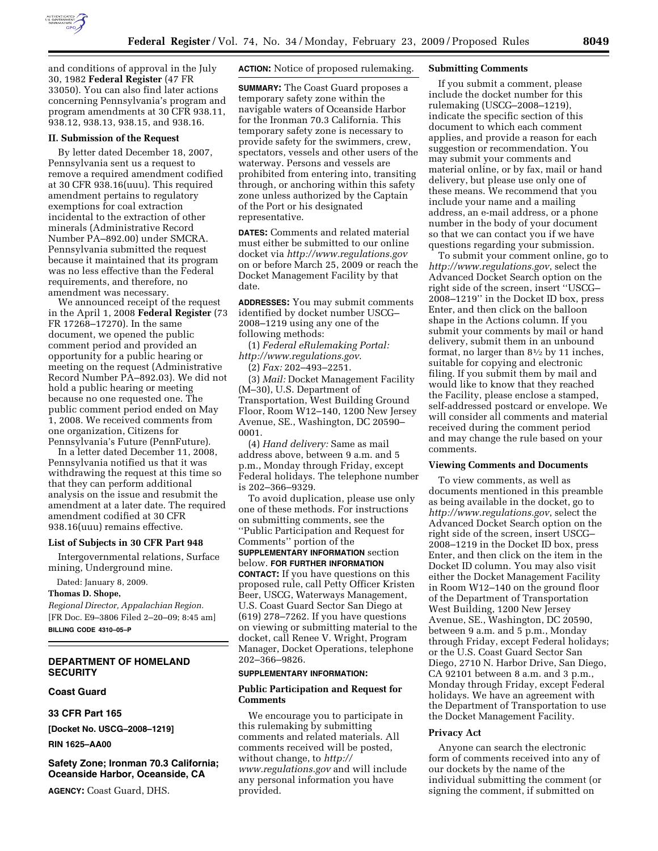

and conditions of approval in the July 30, 1982 **Federal Register** (47 FR 33050). You can also find later actions concerning Pennsylvania's program and program amendments at 30 CFR 938.11, 938.12, 938.13, 938.15, and 938.16.

## **II. Submission of the Request**

By letter dated December 18, 2007, Pennsylvania sent us a request to remove a required amendment codified at 30 CFR 938.16(uuu). This required amendment pertains to regulatory exemptions for coal extraction incidental to the extraction of other minerals (Administrative Record Number PA–892.00) under SMCRA. Pennsylvania submitted the request because it maintained that its program was no less effective than the Federal requirements, and therefore, no amendment was necessary.

We announced receipt of the request in the April 1, 2008 **Federal Register** (73 FR 17268–17270). In the same document, we opened the public comment period and provided an opportunity for a public hearing or meeting on the request (Administrative Record Number PA–892.03). We did not hold a public hearing or meeting because no one requested one. The public comment period ended on May 1, 2008. We received comments from one organization, Citizens for Pennsylvania's Future (PennFuture).

In a letter dated December 11, 2008, Pennsylvania notified us that it was withdrawing the request at this time so that they can perform additional analysis on the issue and resubmit the amendment at a later date. The required amendment codified at 30 CFR 938.16(uuu) remains effective.

## **List of Subjects in 30 CFR Part 948**

Intergovernmental relations, Surface mining, Underground mine.

Dated: January 8, 2009.

## **Thomas D. Shope,**

*Regional Director, Appalachian Region.*  [FR Doc. E9–3806 Filed 2–20–09; 8:45 am] **BILLING CODE 4310–05–P** 

# **DEPARTMENT OF HOMELAND SECURITY**

# **Coast Guard**

**33 CFR Part 165** 

**[Docket No. USCG–2008–1219]** 

**RIN 1625–AA00** 

# **Safety Zone; Ironman 70.3 California; Oceanside Harbor, Oceanside, CA**

**AGENCY:** Coast Guard, DHS.

**ACTION:** Notice of proposed rulemaking.

**SUMMARY:** The Coast Guard proposes a temporary safety zone within the navigable waters of Oceanside Harbor for the Ironman 70.3 California. This temporary safety zone is necessary to provide safety for the swimmers, crew, spectators, vessels and other users of the waterway. Persons and vessels are prohibited from entering into, transiting through, or anchoring within this safety zone unless authorized by the Captain of the Port or his designated representative.

**DATES:** Comments and related material must either be submitted to our online docket via *http://www.regulations.gov*  on or before March 25, 2009 or reach the Docket Management Facility by that date.

**ADDRESSES:** You may submit comments identified by docket number USCG– 2008–1219 using any one of the following methods:

(1) *Federal eRulemaking Portal: http://www.regulations.gov*.

(2) *Fax:* 202–493–2251.

(3) *Mail:* Docket Management Facility (M–30), U.S. Department of Transportation, West Building Ground Floor, Room W12–140, 1200 New Jersey Avenue, SE., Washington, DC 20590– 0001.

(4) *Hand delivery:* Same as mail address above, between 9 a.m. and 5 p.m., Monday through Friday, except Federal holidays. The telephone number is 202–366–9329.

To avoid duplication, please use only one of these methods. For instructions on submitting comments, see the ''Public Participation and Request for Comments'' portion of the **SUPPLEMENTARY INFORMATION** section below. **FOR FURTHER INFORMATION CONTACT:** If you have questions on this proposed rule, call Petty Officer Kristen Beer, USCG, Waterways Management, U.S. Coast Guard Sector San Diego at (619) 278–7262. If you have questions on viewing or submitting material to the docket, call Renee V. Wright, Program Manager, Docket Operations, telephone 202–366–9826.

## **SUPPLEMENTARY INFORMATION:**

## **Public Participation and Request for Comments**

We encourage you to participate in this rulemaking by submitting comments and related materials. All comments received will be posted, without change, to *http:// www.regulations.gov* and will include any personal information you have provided.

### **Submitting Comments**

If you submit a comment, please include the docket number for this rulemaking (USCG–2008–1219), indicate the specific section of this document to which each comment applies, and provide a reason for each suggestion or recommendation. You may submit your comments and material online, or by fax, mail or hand delivery, but please use only one of these means. We recommend that you include your name and a mailing address, an e-mail address, or a phone number in the body of your document so that we can contact you if we have questions regarding your submission.

To submit your comment online, go to *http://www.regulations.gov*, select the Advanced Docket Search option on the right side of the screen, insert ''USCG– 2008–1219'' in the Docket ID box, press Enter, and then click on the balloon shape in the Actions column. If you submit your comments by mail or hand delivery, submit them in an unbound format, no larger than 81⁄2 by 11 inches, suitable for copying and electronic filing. If you submit them by mail and would like to know that they reached the Facility, please enclose a stamped, self-addressed postcard or envelope. We will consider all comments and material received during the comment period and may change the rule based on your comments.

## **Viewing Comments and Documents**

To view comments, as well as documents mentioned in this preamble as being available in the docket, go to *http://www.regulations.gov*, select the Advanced Docket Search option on the right side of the screen, insert USCG– 2008–1219 in the Docket ID box, press Enter, and then click on the item in the Docket ID column. You may also visit either the Docket Management Facility in Room W12–140 on the ground floor of the Department of Transportation West Building, 1200 New Jersey Avenue, SE., Washington, DC 20590, between 9 a.m. and 5 p.m., Monday through Friday, except Federal holidays; or the U.S. Coast Guard Sector San Diego, 2710 N. Harbor Drive, San Diego, CA 92101 between 8 a.m. and 3 p.m., Monday through Friday, except Federal holidays. We have an agreement with the Department of Transportation to use the Docket Management Facility.

## **Privacy Act**

Anyone can search the electronic form of comments received into any of our dockets by the name of the individual submitting the comment (or signing the comment, if submitted on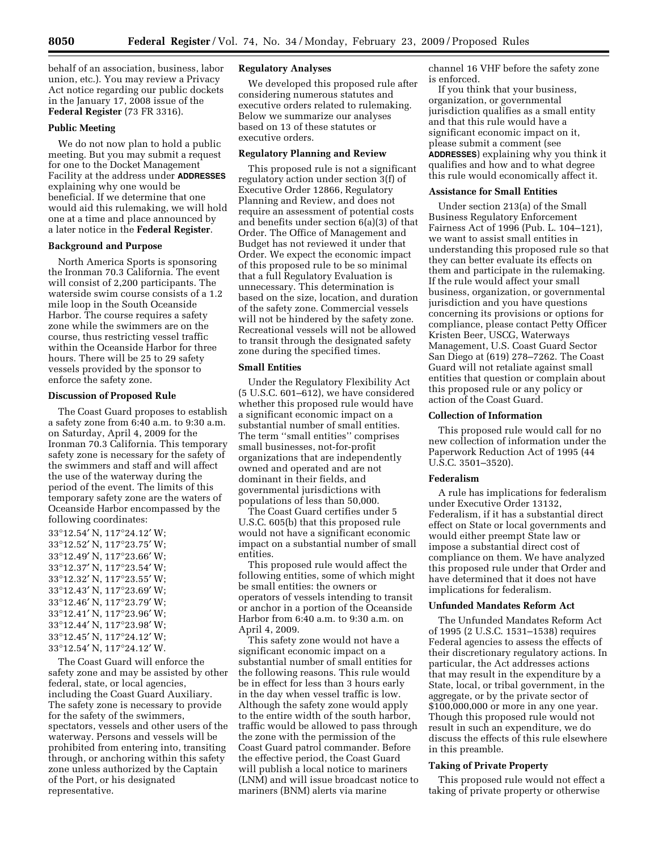behalf of an association, business, labor union, etc.). You may review a Privacy Act notice regarding our public dockets in the January 17, 2008 issue of the **Federal Register** (73 FR 3316).

## **Public Meeting**

We do not now plan to hold a public meeting. But you may submit a request for one to the Docket Management Facility at the address under **ADDRESSES** explaining why one would be beneficial. If we determine that one would aid this rulemaking, we will hold one at a time and place announced by a later notice in the **Federal Register**.

## **Background and Purpose**

North America Sports is sponsoring the Ironman 70.3 California. The event will consist of 2,200 participants. The waterside swim course consists of a 1.2 mile loop in the South Oceanside Harbor. The course requires a safety zone while the swimmers are on the course, thus restricting vessel traffic within the Oceanside Harbor for three hours. There will be 25 to 29 safety vessels provided by the sponsor to enforce the safety zone.

### **Discussion of Proposed Rule**

The Coast Guard proposes to establish a safety zone from 6:40 a.m. to 9:30 a.m. on Saturday, April 4, 2009 for the Ironman 70.3 California. This temporary safety zone is necessary for the safety of the swimmers and staff and will affect the use of the waterway during the period of the event. The limits of this temporary safety zone are the waters of Oceanside Harbor encompassed by the following coordinates:

°12.54′ N, 117°24.12′ W; °12.52′ N, 117°23.75′ W; °12.49′ N, 117°23.66′ W; °12.37′ N, 117°23.54′ W; °12.32′ N, 117°23.55′ W; °12.43′ N, 117°23.69′ W; °12.46′ N, 117°23.79′ W; °12.41′ N, 117°23.96′ W; °12.44′ N, 117°23.98′ W; °12.45′ N, 117°24.12′ W; °12.54′ N, 117°24.12′ W.

The Coast Guard will enforce the safety zone and may be assisted by other federal, state, or local agencies, including the Coast Guard Auxiliary. The safety zone is necessary to provide for the safety of the swimmers, spectators, vessels and other users of the waterway. Persons and vessels will be prohibited from entering into, transiting through, or anchoring within this safety zone unless authorized by the Captain of the Port, or his designated representative.

## **Regulatory Analyses**

We developed this proposed rule after considering numerous statutes and executive orders related to rulemaking. Below we summarize our analyses based on 13 of these statutes or executive orders.

# **Regulatory Planning and Review**

This proposed rule is not a significant regulatory action under section 3(f) of Executive Order 12866, Regulatory Planning and Review, and does not require an assessment of potential costs and benefits under section 6(a)(3) of that Order. The Office of Management and Budget has not reviewed it under that Order. We expect the economic impact of this proposed rule to be so minimal that a full Regulatory Evaluation is unnecessary. This determination is based on the size, location, and duration of the safety zone. Commercial vessels will not be hindered by the safety zone. Recreational vessels will not be allowed to transit through the designated safety zone during the specified times.

### **Small Entities**

Under the Regulatory Flexibility Act (5 U.S.C. 601–612), we have considered whether this proposed rule would have a significant economic impact on a substantial number of small entities. The term ''small entities'' comprises small businesses, not-for-profit organizations that are independently owned and operated and are not dominant in their fields, and governmental jurisdictions with populations of less than 50,000.

The Coast Guard certifies under 5 U.S.C. 605(b) that this proposed rule would not have a significant economic impact on a substantial number of small entities.

This proposed rule would affect the following entities, some of which might be small entities: the owners or operators of vessels intending to transit or anchor in a portion of the Oceanside Harbor from 6:40 a.m. to 9:30 a.m. on April 4, 2009.

This safety zone would not have a significant economic impact on a substantial number of small entities for the following reasons. This rule would be in effect for less than 3 hours early in the day when vessel traffic is low. Although the safety zone would apply to the entire width of the south harbor, traffic would be allowed to pass through the zone with the permission of the Coast Guard patrol commander. Before the effective period, the Coast Guard will publish a local notice to mariners (LNM) and will issue broadcast notice to mariners (BNM) alerts via marine

channel 16 VHF before the safety zone is enforced.

If you think that your business, organization, or governmental jurisdiction qualifies as a small entity and that this rule would have a significant economic impact on it, please submit a comment (see **ADDRESSES**) explaining why you think it qualifies and how and to what degree this rule would economically affect it.

#### **Assistance for Small Entities**

Under section 213(a) of the Small Business Regulatory Enforcement Fairness Act of 1996 (Pub. L. 104–121), we want to assist small entities in understanding this proposed rule so that they can better evaluate its effects on them and participate in the rulemaking. If the rule would affect your small business, organization, or governmental jurisdiction and you have questions concerning its provisions or options for compliance, please contact Petty Officer Kristen Beer, USCG, Waterways Management, U.S. Coast Guard Sector San Diego at (619) 278–7262. The Coast Guard will not retaliate against small entities that question or complain about this proposed rule or any policy or action of the Coast Guard.

#### **Collection of Information**

This proposed rule would call for no new collection of information under the Paperwork Reduction Act of 1995 (44 U.S.C. 3501–3520).

### **Federalism**

A rule has implications for federalism under Executive Order 13132, Federalism, if it has a substantial direct effect on State or local governments and would either preempt State law or impose a substantial direct cost of compliance on them. We have analyzed this proposed rule under that Order and have determined that it does not have implications for federalism.

#### **Unfunded Mandates Reform Act**

The Unfunded Mandates Reform Act of 1995 (2 U.S.C. 1531–1538) requires Federal agencies to assess the effects of their discretionary regulatory actions. In particular, the Act addresses actions that may result in the expenditure by a State, local, or tribal government, in the aggregate, or by the private sector of \$100,000,000 or more in any one year. Though this proposed rule would not result in such an expenditure, we do discuss the effects of this rule elsewhere in this preamble.

## **Taking of Private Property**

This proposed rule would not effect a taking of private property or otherwise